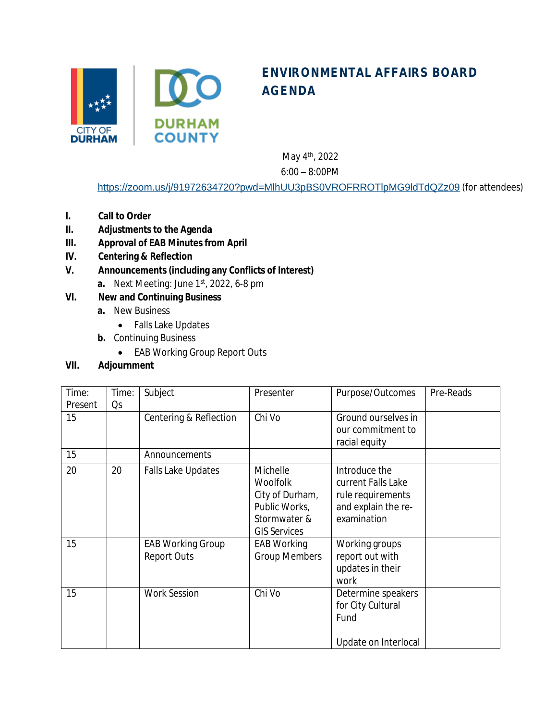

## **ENVIRONMENTAL AFFAIRS BOARD AGENDA**

May 4<sup>th</sup>, 2022

6:00 – 8:00PM

<https://zoom.us/j/91972634720?pwd=MlhUU3pBS0VROFRROTlpMG9ldTdQZz09> (for attendees)

- **I. Call to Order**
- **II. Adjustments to the Agenda**
- **III. Approval of EAB Minutes from April**
- **IV. Centering & Reflection**
- **V. Announcements (including any Conflicts of Interest)**
	- **a.** Next Meeting: June 1st, 2022, 6-8 pm
- **VI. New and Continuing Business**
	- **a.** New Business
		- Falls Lake Updates
	- **b.** Continuing Business
		- EAB Working Group Report Outs

## **VII. Adjournment**

| Time:   | Time: | Subject                   | Presenter            | Purpose/Outcomes     | Pre-Reads |
|---------|-------|---------------------------|----------------------|----------------------|-----------|
| Present | Qs    |                           |                      |                      |           |
| 15      |       | Centering & Reflection    | Chi Vo               | Ground ourselves in  |           |
|         |       |                           |                      | our commitment to    |           |
|         |       |                           |                      | racial equity        |           |
| 15      |       | Announcements             |                      |                      |           |
| 20      | 20    | <b>Falls Lake Updates</b> | Michelle             | Introduce the        |           |
|         |       |                           | <b>Woolfolk</b>      | current Falls Lake   |           |
|         |       |                           | City of Durham,      | rule requirements    |           |
|         |       |                           | Public Works,        | and explain the re-  |           |
|         |       |                           | Stormwater &         | examination          |           |
|         |       |                           | <b>GIS Services</b>  |                      |           |
| 15      |       | <b>EAB Working Group</b>  | EAB Working          | Working groups       |           |
|         |       | <b>Report Outs</b>        | <b>Group Members</b> | report out with      |           |
|         |       |                           |                      | updates in their     |           |
|         |       |                           |                      | work                 |           |
| 15      |       | <b>Work Session</b>       | Chi Vo               | Determine speakers   |           |
|         |       |                           |                      | for City Cultural    |           |
|         |       |                           |                      | Fund                 |           |
|         |       |                           |                      |                      |           |
|         |       |                           |                      | Update on Interlocal |           |